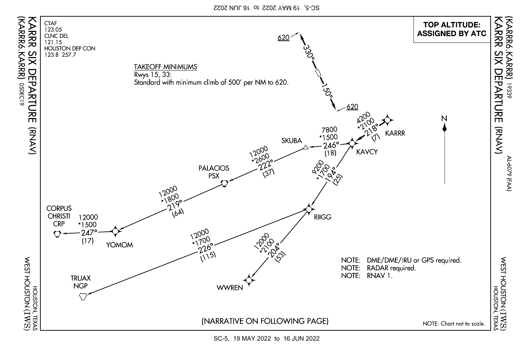

SC-5, 19 MAY 2022 to 16 JUN 2022